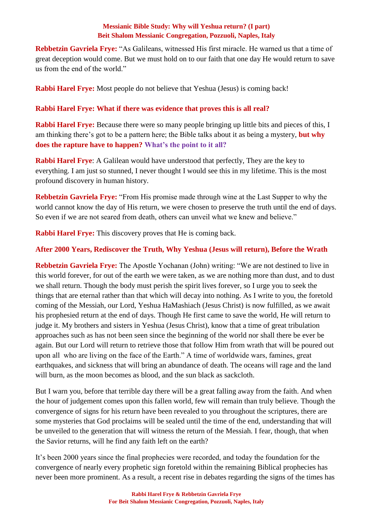**Rebbetzin Gavriela Frye:** "As Galileans, witnessed His first miracle. He warned us that a time of great deception would come. But we must hold on to our faith that one day He would return to save us from the end of the world."

**Rabbi Harel Frye:** Most people do not believe that Yeshua (Jesus) is coming back!

## **Rabbi Harel Frye: What if there was evidence that proves this is all real?**

**Rabbi Harel Frye:** Because there were so many people bringing up little bits and pieces of this, I am thinking there's got to be a pattern here; the Bible talks about it as being a mystery, **but why does the rapture have to happen? What's the point to it all?**

**Rabbi Harel Frye**: A Galilean would have understood that perfectly, They are the key to everything. I am just so stunned, I never thought I would see this in my lifetime. This is the most profound discovery in human history.

**Rebbetzin Gavriela Frye:** "From His promise made through wine at the Last Supper to why the world cannot know the day of His return, we were chosen to preserve the truth until the end of days. So even if we are not seared from death, others can unveil what we knew and believe."

**Rabbi Harel Frye:** This discovery proves that He is coming back.

## **After 2000 Years, Rediscover the Truth, Why Yeshua (Jesus will return), Before the Wrath**

**Rebbetzin Gavriela Frye:** The Apostle Yochanan (John) writing: "We are not destined to live in this world forever, for out of the earth we were taken, as we are nothing more than dust, and to dust we shall return. Though the body must perish the spirit lives forever, so I urge you to seek the things that are eternal rather than that which will decay into nothing. As I write to you, the foretold coming of the Messiah, our Lord, Yeshua HaMashiach (Jesus Christ) is now fulfilled, as we await his prophesied return at the end of days. Though He first came to save the world, He will return to judge it. My brothers and sisters in Yeshua (Jesus Christ), know that a time of great tribulation approaches such as has not been seen since the beginning of the world nor shall there be ever be again. But our Lord will return to retrieve those that follow Him from wrath that will be poured out upon all who are living on the face of the Earth." A time of worldwide wars, famines, great earthquakes, and sickness that will bring an abundance of death. The oceans will rage and the land will burn, as the moon becomes as blood, and the sun black as sackcloth.

But I warn you, before that terrible day there will be a great falling away from the faith. And when the hour of judgement comes upon this fallen world, few will remain than truly believe. Though the convergence of signs for his return have been revealed to you throughout the scriptures, there are some mysteries that God proclaims will be sealed until the time of the end, understanding that will be unveiled to the generation that will witness the return of the Messiah. I fear, though, that when the Savior returns, will he find any faith left on the earth?

It's been 2000 years since the final prophecies were recorded, and today the foundation for the convergence of nearly every prophetic sign foretold within the remaining Biblical prophecies has never been more prominent. As a result, a recent rise in debates regarding the signs of the times has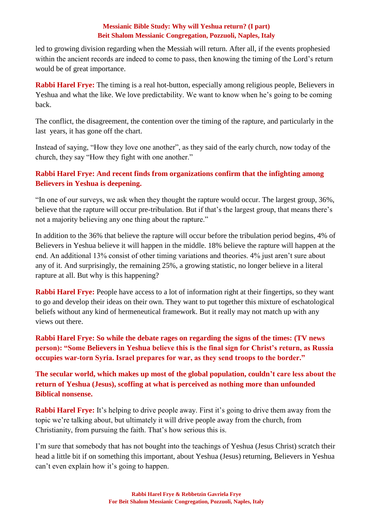led to growing division regarding when the Messiah will return. After all, if the events prophesied within the ancient records are indeed to come to pass, then knowing the timing of the Lord's return would be of great importance.

**Rabbi Harel Frye:** The timing is a real hot-button, especially among religious people, Believers in Yeshua and what the like. We love predictability. We want to know when he's going to be coming back.

The conflict, the disagreement, the contention over the timing of the rapture, and particularly in the last years, it has gone off the chart.

Instead of saying, "How they love one another", as they said of the early church, now today of the church, they say "How they fight with one another."

# **Rabbi Harel Frye: And recent finds from organizations confirm that the infighting among Believers in Yeshua is deepening.**

"In one of our surveys, we ask when they thought the rapture would occur. The largest group, 36%, believe that the rapture will occur pre-tribulation. But if that's the largest group, that means there's not a majority believing any one thing about the rapture."

In addition to the 36% that believe the rapture will occur before the tribulation period begins, 4% of Believers in Yeshua believe it will happen in the middle. 18% believe the rapture will happen at the end. An additional 13% consist of other timing variations and theories. 4% just aren't sure about any of it. And surprisingly, the remaining 25%, a growing statistic, no longer believe in a literal rapture at all. But why is this happening?

**Rabbi Harel Frye:** People have access to a lot of information right at their fingertips, so they want to go and develop their ideas on their own. They want to put together this mixture of eschatological beliefs without any kind of hermeneutical framework. But it really may not match up with any views out there.

**Rabbi Harel Frye: So while the debate rages on regarding the signs of the times: (TV news person): "Some Believers in Yeshua believe this is the final sign for Christ's return, as Russia occupies war-torn Syria. Israel prepares for war, as they send troops to the border."** 

**The secular world, which makes up most of the global population, couldn't care less about the return of Yeshua (Jesus), scoffing at what is perceived as nothing more than unfounded Biblical nonsense.**

**Rabbi Harel Frye:** It's helping to drive people away. First it's going to drive them away from the topic we're talking about, but ultimately it will drive people away from the church, from Christianity, from pursuing the faith. That's how serious this is.

I'm sure that somebody that has not bought into the teachings of Yeshua (Jesus Christ) scratch their head a little bit if on something this important, about Yeshua (Jesus) returning, Believers in Yeshua can't even explain how it's going to happen.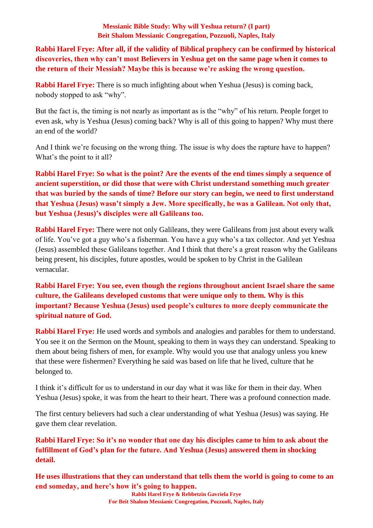**Rabbi Harel Frye: After all, if the validity of Biblical prophecy can be confirmed by historical discoveries, then why can't most Believers in Yeshua get on the same page when it comes to the return of their Messiah? Maybe this is because we're asking the wrong question.**

**Rabbi Harel Frye:** There is so much infighting about when Yeshua (Jesus) is coming back, nobody stopped to ask "why".

But the fact is, the timing is not nearly as important as is the "why" of his return. People forget to even ask, why is Yeshua (Jesus) coming back? Why is all of this going to happen? Why must there an end of the world?

And I think we're focusing on the wrong thing. The issue is why does the rapture have to happen? What's the point to it all?

**Rabbi Harel Frye: So what is the point? Are the events of the end times simply a sequence of ancient superstition, or did those that were with Christ understand something much greater that was buried by the sands of time? Before our story can begin, we need to first understand that Yeshua (Jesus) wasn't simply a Jew. More specifically, he was a Galilean. Not only that, but Yeshua (Jesus)'s disciples were all Galileans too.**

**Rabbi Harel Frye:** There were not only Galileans, they were Galileans from just about every walk of life. You've got a guy who's a fisherman. You have a guy who's a tax collector. And yet Yeshua (Jesus) assembled these Galileans together. And I think that there's a great reason why the Galileans being present, his disciples, future apostles, would be spoken to by Christ in the Galilean vernacular.

**Rabbi Harel Frye: You see, even though the regions throughout ancient Israel share the same culture, the Galileans developed customs that were unique only to them. Why is this important? Because Yeshua (Jesus) used people's cultures to more deeply communicate the spiritual nature of God.** 

**Rabbi Harel Frye:** He used words and symbols and analogies and parables for them to understand. You see it on the Sermon on the Mount, speaking to them in ways they can understand. Speaking to them about being fishers of men, for example. Why would you use that analogy unless you knew that these were fishermen? Everything he said was based on life that he lived, culture that he belonged to.

I think it's difficult for us to understand in our day what it was like for them in their day. When Yeshua (Jesus) spoke, it was from the heart to their heart. There was a profound connection made.

The first century believers had such a clear understanding of what Yeshua (Jesus) was saying. He gave them clear revelation.

**Rabbi Harel Frye: So it's no wonder that one day his disciples came to him to ask about the fulfillment of God's plan for the future. And Yeshua (Jesus) answered them in shocking detail.** 

**He uses illustrations that they can understand that tells them the world is going to come to an end someday, and here's how it's going to happen.**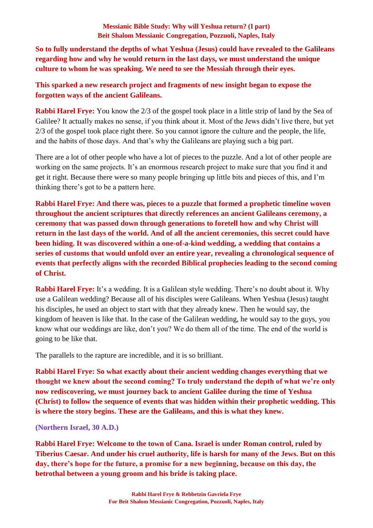**So to fully understand the depths of what Yeshua (Jesus) could have revealed to the Galileans regarding how and why he would return in the last days, we must understand the unique culture to whom he was speaking. We need to see the Messiah through their eyes.** 

**This sparked a new research project and fragments of new insight began to expose the forgotten ways of the ancient Galileans.** 

**Rabbi Harel Frye:** You know the 2/3 of the gospel took place in a little strip of land by the Sea of Galilee? It actually makes no sense, if you think about it. Most of the Jews didn't live there, but yet 2/3 of the gospel took place right there. So you cannot ignore the culture and the people, the life, and the habits of those days. And that's why the Galileans are playing such a big part.

There are a lot of other people who have a lot of pieces to the puzzle. And a lot of other people are working on the same projects. It's an enormous research project to make sure that you find it and get it right. Because there were so many people bringing up little bits and pieces of this, and I'm thinking there's got to be a pattern here.

**Rabbi Harel Frye: And there was, pieces to a puzzle that formed a prophetic timeline woven throughout the ancient scriptures that directly references an ancient Galileans ceremony, a ceremony that was passed down through generations to foretell how and why Christ will return in the last days of the world. And of all the ancient ceremonies, this secret could have been hiding. It was discovered within a one-of-a-kind wedding, a wedding that contains a series of customs that would unfold over an entire year, revealing a chronological sequence of events that perfectly aligns with the recorded Biblical prophecies leading to the second coming of Christ.** 

**Rabbi Harel Frye:** It's a wedding. It is a Galilean style wedding. There's no doubt about it. Why use a Galilean wedding? Because all of his disciples were Galileans. When Yeshua (Jesus) taught his disciples, he used an object to start with that they already knew. Then he would say, the kingdom of heaven is like that. In the case of the Galilean wedding, he would say to the guys, you know what our weddings are like, don't you? We do them all of the time. The end of the world is going to be like that.

The parallels to the rapture are incredible, and it is so brilliant.

**Rabbi Harel Frye: So what exactly about their ancient wedding changes everything that we thought we knew about the second coming? To truly understand the depth of what we're only now rediscovering, we must journey back to ancient Galilee during the time of Yeshua (Christ) to follow the sequence of events that was hidden within their prophetic wedding. This is where the story begins. These are the Galileans, and this is what they knew.**

**(Northern Israel, 30 A.D.)**

**Rabbi Harel Frye: Welcome to the town of Cana. Israel is under Roman control, ruled by Tiberius Caesar. And under his cruel authority, life is harsh for many of the Jews. But on this day, there's hope for the future, a promise for a new beginning, because on this day, the betrothal between a young groom and his bride is taking place.**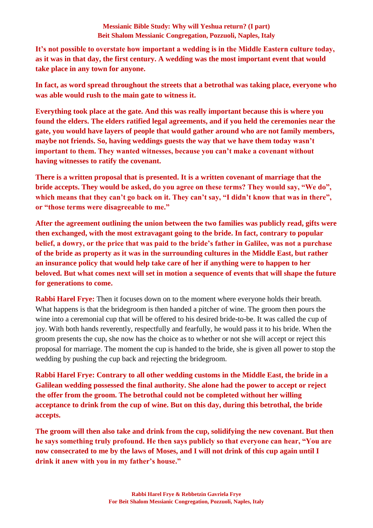**It's not possible to overstate how important a wedding is in the Middle Eastern culture today, as it was in that day, the first century. A wedding was the most important event that would take place in any town for anyone.** 

**In fact, as word spread throughout the streets that a betrothal was taking place, everyone who was able would rush to the main gate to witness it.** 

**Everything took place at the gate. And this was really important because this is where you found the elders. The elders ratified legal agreements, and if you held the ceremonies near the gate, you would have layers of people that would gather around who are not family members, maybe not friends. So, having weddings guests the way that we have them today wasn't important to them. They wanted witnesses, because you can't make a covenant without having witnesses to ratify the covenant.** 

**There is a written proposal that is presented. It is a written covenant of marriage that the bride accepts. They would be asked, do you agree on these terms? They would say, "We do",**  which means that they can't go back on it. They can't say, "I didn't know that was in there", **or "those terms were disagreeable to me."** 

**After the agreement outlining the union between the two families was publicly read, gifts were then exchanged, with the most extravagant going to the bride. In fact, contrary to popular belief, a dowry, or the price that was paid to the bride's father in Galilee, was not a purchase of the bride as property as it was in the surrounding cultures in the Middle East, but rather an insurance policy that would help take care of her if anything were to happen to her beloved. But what comes next will set in motion a sequence of events that will shape the future for generations to come.**

**Rabbi Harel Frye:** Then it focuses down on to the moment where everyone holds their breath. What happens is that the bridegroom is then handed a pitcher of wine. The groom then pours the wine into a ceremonial cup that will be offered to his desired bride-to-be. It was called the cup of joy. With both hands reverently, respectfully and fearfully, he would pass it to his bride. When the groom presents the cup, she now has the choice as to whether or not she will accept or reject this proposal for marriage. The moment the cup is handed to the bride, she is given all power to stop the wedding by pushing the cup back and rejecting the bridegroom.

**Rabbi Harel Frye: Contrary to all other wedding customs in the Middle East, the bride in a Galilean wedding possessed the final authority. She alone had the power to accept or reject the offer from the groom. The betrothal could not be completed without her willing acceptance to drink from the cup of wine. But on this day, during this betrothal, the bride accepts.** 

**The groom will then also take and drink from the cup, solidifying the new covenant. But then he says something truly profound. He then says publicly so that everyone can hear, "You are now consecrated to me by the laws of Moses, and I will not drink of this cup again until I drink it anew with you in my father's house."**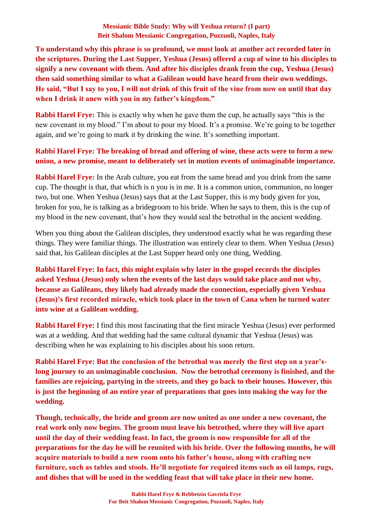**To understand why this phrase is so profound, we must look at another act recorded later in the scriptures. During the Last Supper, Yeshua (Jesus) offered a cup of wine to his disciples to signify a new covenant with them. And after his disciples drank from the cup, Yeshua (Jesus) then said something similar to what a Galilean would have heard from their own weddings. He said, "But I say to you, I will not drink of this fruit of the vine from now on until that day when I drink it anew with you in my father's kingdom."** 

**Rabbi Harel Frye:** This is exactly why when he gave them the cup, he actually says "this is the new covenant in my blood." I'm about to pour my blood. It's a promise. We're going to be together again, and we're going to mark it by drinking the wine. It's something important.

### **Rabbi Harel Frye: The breaking of bread and offering of wine, these acts were to form a new union, a new promise, meant to deliberately set in motion events of unimaginable importance.**

**Rabbi Harel Frye:** In the Arab culture, you eat from the same bread and you drink from the same cup. The thought is that, that which is n you is in me. It is a common union, communion, no longer two, but one. When Yeshua (Jesus) says that at the Last Supper, this is my body given for you, broken for you, he is talking as a bridegroom to his bride. When he says to them, this is the cup of my blood in the new covenant, that's how they would seal the betrothal in the ancient wedding.

When you thing about the Galilean disciples, they understood exactly what he was regarding these things. They were familiar things. The illustration was entirely clear to them. When Yeshua (Jesus) said that, his Galilean disciples at the Last Supper heard only one thing, Wedding.

**Rabbi Harel Frye: In fact, this might explain why later in the gospel records the disciples asked Yeshua (Jesus) only when the events of the last days would take place and not why, because as Galileans, they likely had already made the connection, especially given Yeshua (Jesus)'s first recorded miracle, which took place in the town of Cana when he turned water into wine at a Galilean wedding.**

**Rabbi Harel Frye:** I find this most fascinating that the first miracle Yeshua (Jesus) ever performed was at a wedding. And that wedding had the same cultural dynamic that Yeshua (Jesus) was describing when he was explaining to his disciples about his soon return.

**Rabbi Harel Frye: But the conclusion of the betrothal was merely the first step on a year'slong journey to an unimaginable conclusion. Now the betrothal ceremony is finished, and the families are rejoicing, partying in the streets, and they go back to their houses. However, this is just the beginning of an entire year of preparations that goes into making the way for the wedding.** 

**Though, technically, the bride and groom are now united as one under a new covenant, the real work only now begins. The groom must leave his betrothed, where they will live apart until the day of their wedding feast. In fact, the groom is now responsible for all of the preparations for the day he will be reunited with his bride. Over the following months, he will acquire materials to build a new room onto his father's house, along with crafting new furniture, such as tables and stools. He'll negotiate for required items such as oil lamps, rugs, and dishes that will be used in the wedding feast that will take place in their new home.**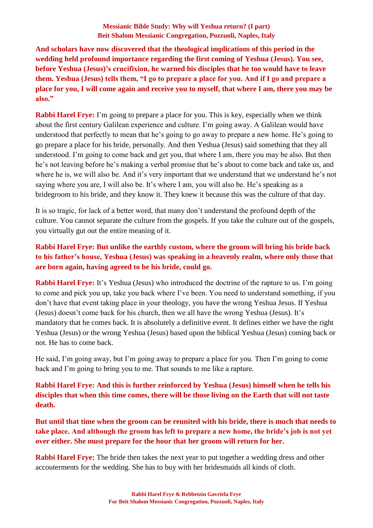**And scholars have now discovered that the theological implications of this period in the wedding held profound importance regarding the first coming of Yeshua (Jesus). You see, before Yeshua (Jesus)'s crucifixion, he warned his disciples that he too would have to leave them. Yeshua (Jesus) tells them, "I go to prepare a place for you. And if I go and prepare a place for you, I will come again and receive you to myself, that where I am, there you may be also."**

**Rabbi Harel Frye:** I'm going to prepare a place for you. This is key, especially when we think about the first century Galilean experience and culture. I'm going away. A Galilean would have understood that perfectly to mean that he's going to go away to prepare a new home. He's going to go prepare a place for his bride, personally. And then Yeshua (Jesus) said something that they all understood. I'm going to come back and get you, that where I am, there you may be also. But then he's not leaving before he's making a verbal promise that he's about to come back and take us, and where he is, we will also be. And it's very important that we understand that we understand he's not saying where you are, I will also be. It's where I am, you will also be. He's speaking as a bridegroom to his bride, and they know it. They knew it because this was the culture of that day.

It is so tragic, for lack of a better word, that many don't understand the profound depth of the culture. You cannot separate the culture from the gospels. If you take the culture out of the gospels, you virtually gut out the entire meaning of it.

## **Rabbi Harel Frye: But unlike the earthly custom, where the groom will bring his bride back to his father's house, Yeshua (Jesus) was speaking in a heavenly realm, where only those that are born again, having agreed to be his bride, could go.**

**Rabbi Harel Frve:** It's Yeshua (Jesus) who introduced the doctrine of the rapture to us. I'm going to come and pick you up, take you back where I've been. You need to understand something, if you don't have that event taking place in your theology, you have the wrong Yeshua Jesus. If Yeshua (Jesus) doesn't come back for his church, then we all have the wrong Yeshua (Jesus). It's mandatory that he comes back. It is absolutely a definitive event. It defines either we have the right Yeshua (Jesus) or the wrong Yeshua (Jesus) based upon the biblical Yeshua (Jesus) coming back or not. He has to come back.

He said, I'm going away, but I'm going away to prepare a place for you. Then I'm going to come back and I'm going to bring you to me. That sounds to me like a rapture.

**Rabbi Harel Frye: And this is further reinforced by Yeshua (Jesus) himself when he tells his disciples that when this time comes, there will be those living on the Earth that will not taste death.** 

**But until that time when the groom can be reunited with his bride, there is much that needs to take place. And although the groom has left to prepare a new home, the bride's job is not yet over either. She must prepare for the hour that her groom will return for her.** 

**Rabbi Harel Frye:** The bride then takes the next year to put together a wedding dress and other accouterments for the wedding. She has to buy with her bridesmaids all kinds of cloth.